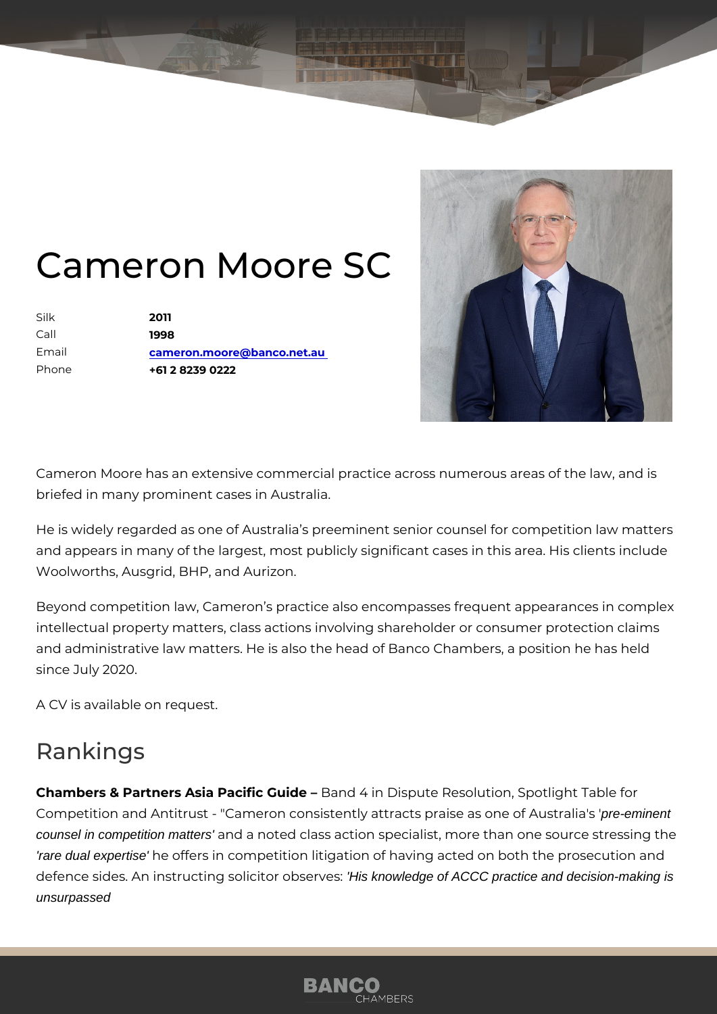## Cameron Moore SC

Silk 2011 Call 1998 Email [cameron.moore@banco.](mailto:cameron.moore@banco.net.au)net.au Phone +61 2 8239 0222

Cameron Moore has an extensive commercial practice across numerous a briefed in many prominent cases in Australia.

He is widely regarded as one of Australia s preeminent senior counsel fo and appears in many of the largest, most publicly significant cases in thi Woolworths, Ausgrid, BHP, and Aurizon.

Beyond competition law, Cameron s practice also encompasses frequent a intellectual property matters, class actions involving shareholder or cons and administrative law matters. He is also the head of Banco Chambers, since July 2020.

A CV is available on request.

## Rankings

Chambers & Partners Asia PaciBian Gulide Dispute Resolution, Spotlight Ta Competition and Antitrust - "Cameron consistently attracts ppeeigneinents one counsel in competition matters' and a noted class action specialist, more than one so 'rare dual expertise' he offers in competition litigation of having acted on both th defence sides. An instructing solildistkonowledge of AGGC practice and decision-making is unsurpassed